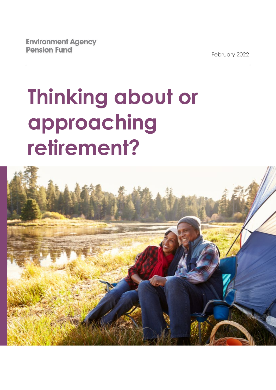**Environment Agency Pension Fund** 

February 2022

# **Thinking about or approaching retirement?**

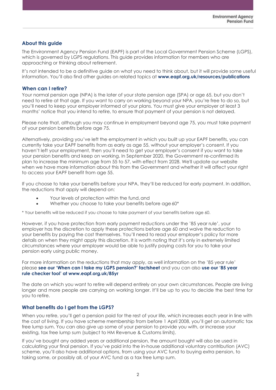# **About this guide**

The Environment Agency Pension Fund (EAPF) is part of the Local Government Pension Scheme (LGPS), which is governed by LGPS regulations. This guide provides information for members who are approaching or thinking about retirement.

It's not intended to be a definitive guide on what you need to think about, but it will provide some useful information. You'll also find other guides on related topics at **[www.eapf.org.uk/resources/publications](https://www.eapf.org.uk/resources/publications)**

### **When can I retire?**

Your normal pension age (NPA) is the later of your state pension age (SPA) or age 65, but you don't need to retire at that age. If you want to carry on working beyond your NPA, you're free to do so, but you'll need to keep your employer informed of your plans. You must give your employer at least 3 months' notice that you intend to retire, to ensure that payment of your pension is not delayed.

Please note that, although you may continue in employment beyond age 75, you must take payment of your pension benefits before age 75.

Alternatively, providing you've left the employment in which you built up your EAPF benefits, you can currently take your EAPF benefits from as early as age 55, without your employer's consent. If you haven't left your employment, then you'll need to get your employer's consent if you want to take your pension benefits and keep on working. In September 2020, the Government re-confirmed its plan to increase the minimum age from 55 to 57, with effect from 2028. We'll update our website when we have more information about this from the Government and whether it will affect your right to access your EAPF benefit from age 55.

If you choose to take your benefits before your NPA, they'll be reduced for early payment. In addition, the reductions that apply will depend on:

- Your levels of protection within the fund, and
- Whether you choose to take your benefits before age 60\*

\* Your benefits will be reduced if you choose to take payment of your benefits before age 60.

However, if you have protection from early payment reductions under the '85 year rule', your employer has the discretion to apply these protections before age 60 and waive the reduction to your benefits by paying the cost themselves. You'll need to read your employer's policy for more details on when they might apply this discretion. It is worth noting that it's only in extremely limited circumstances where your employer would be able to justify paying costs for you to take your pension early using public money.

For more information on the reductions that may apply, as well information on the '85 year rule' please **[see our 'When can I take my LGPS pension?' factsheet](https://www.eapf.org.uk/resources/publications)** and you can also **[use our '85 year](https://www.eapf.org.uk/member/im-a-contributing-member/taking-your-pension/retiring-early)  [rule checker tool' at www.eapf.org.uk/85yr](https://www.eapf.org.uk/member/im-a-contributing-member/taking-your-pension/retiring-early)**

The date on which you want to retire will depend entirely on your own circumstances. People are living longer and more people are carrying on working longer. It'll be up to you to decide the best time for you to retire.

### **What benefits do I get from the LGPS?**

When you retire, you'll get a pension paid for the rest of your life, which increases each year in line with the cost of living. If you have scheme membership from before 1 April 2008, you'll get an automatic tax free lump sum. You can also give up some of your pension to provide you with, or increase your existing, tax free lump sum (subject to HM Revenue & Customs limits).

If you've bought any added years or additional pension, the amount bought will also be used in calculating your final pension. If you've paid into the in-house additional voluntary contribution (AVC) scheme, you'll also have additional options, from using your AVC fund to buying extra pension, to taking some, or possibly all, of your AVC fund as a tax free lump sum.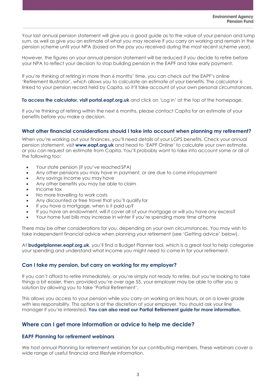Your last annual pension statement will give you a good guide as to the value of your pension and lump sum, as well as give you an estimate of what you may receive if you carry on working and remain in the pension scheme until your NPA (based on the pay you received during the most recent scheme year).

However, the figures on your annual pension statement will be reduced if you decide to retire before your NPA to reflect your decision to stop building pension in the EAPF and take early payment.

If you're thinking of retiring in more than 6 months' time, you can check out the EAPF's online 'Retirement Illustrator', which allows you to calculate an estimate of your benefits. The calculator is linked to your pension record held by Capita, so it'll take account of your own personal circumstances.

### **[To access the calculator,](https://portal.eapf.org.uk/hofl.chi/wui/tilepgui.html) visit portal.eapf.org.uk** and click on 'Log in' at the top of the homepage.

If you're thinking of retiring within the next 6 months, please contact Capita for an estimate of your benefits before you make a decision.

# **What other financial considerations should I take into account when planning my retirement?**

When you're working out your finances, you'll need details of your LGPS benefits. Check your annual pension statement, visit **[www.eapf.org.uk](http://www.eapf.org.uk/)** and head to 'EAPF Online' to calculate your own estimate, or you can request an estimate from Capita. You'll probably want to take into account some or all of the following too:

- Your state pension (if you've reached SPA)
- Any other pensions you may have in payment, or are due to come intopayment
- Any savings income you may have
- Any other benefits you may be able to claim
- Income tax
- No more travelling to work costs
- Any discounted or free travel that you'll qualify for
- If you have a mortgage, when is it paid up?
- If you have an endowment, will it cover all of your mortgage or will you have any excess?
- Your home fuel bills may increase in winter if you're spending more time athome

There may be other considerations for you, depending on your own circumstances. You may wish to take independent financial advice when planning your retirement (see 'Getting advice' below).

At **[budgetplanner.eapf.org.uk](https://budgetplanner.eapf.org.uk/)**, you'll find a Budget Planner tool, which is a great tool to help categorise your spending and understand what income you might need to come in for your retirement.

# **Can I take my pension, but carry on working for my employer?**

If you can't afford to retire immediately, or you're simply not ready to retire, but you're looking to take things a bit easier, then, provided you're over age 55, your employer may be able to offer you a solution by allowing you to take 'Partial Retirement'.

This allows you access to your pension while you carry on working on less hours, or on a lower grade with less responsibility. This option is at the discretion of your employer. You should ask your line manager if you're interested. **[You can also read our Partial Retirement guide for more information.](https://www.eapf.org.uk/resources/publications)**

# **Where can I get more information or advice to help me decide?**

### **EAPF Planning for retirement webinars**

We host annual Planning for retirement webinars for our contributing members. These webinars cover a wide range of useful financial and lifestyle information.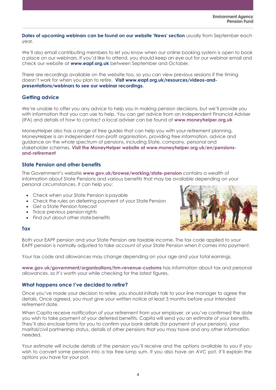**[Dates of upcoming webinars can be found on our website 'News' section](https://www.eapf.org.uk/news)** usually from September each year.

We'll also email contributing members to let you know when our online booking system is open to book a place on our webinars. If you'd like to attend, you should keep an eye out for our webinar email and check our website at **[www.eapf.org.uk](http://www.eapf.org.uk/)** between September and October.

There are recordings available on the website too, so you can view previous sessions if the timing doesn't work for when you plan to retire. **Visit www.eapf.org.uk/resources/videos-andpresentations/webinars to see our webinar recordings.**

# **Getting advice**

We're unable to offer you any advice to help you in making pension decisions, but we'll provide you with information that you can use to help. You can get advice from an Independent Financial Adviser (IFA) and details of how to contact a local adviser can be found at **[www.moneyhelper.org.uk](https://www.moneyhelper.org.uk/en/getting-help-and-advice/financial-advisers/choosing-a-financial-adviser)**

MoneyHelper also has a range of free guides that can help you with your retirement planning. MoneyHelper is an independent non-profit organisation, providing free information, advice and guidance on the whole spectrum of pensions, including State, company, personal and stakeholder schemes. **Visit the MoneyHelper website at www.moneyhelper.org.uk/en/pensionsand-retirement**

# **State Pension and other benefits**

The Government's website **[www.gov.uk/browse/working/state-pension](https://www.gov.uk/browse/working/state-pension)** contains a wealth of information about State Pensions and various benefits that may be available depending on your personal circumstances. It can help you:

- Check when your State Pension is payable
- Check the rules on deferring payment of your State Pension
- Get a State Pension forecast
- Trace previous pension rights
- Find out about other state benefits

# **Tax**

Both your EAPF pension and your State Pension are taxable income. The tax code applied to your EAPF pension is normally adjusted to take account of your State Pension when it comes into payment.

Your tax code and allowances may change depending on your age and your total earnings.

**[www.gov.uk/government/organisations/hm-revenue-customs](http://www.gov.uk/government/organisations/hm-revenue-customs)** has information about tax and personal allowances, so it's worth your while checking for the latest figures.

# **What happens once I've decided to retire?**

Once you've made your decision to retire, you should initially talk to your line manager to agree the details. Once agreed, you must give your written notice at least 3 months before your intended retirement date.

When Capita receive notification of your retirement from your employer, or you've confirmed the date you wish to take payment of your deferred benefits, Capita will send you an estimate of your benefits. They'll also enclose forms for you to confirm your bank details (for payment of your pension), your marital/civil partnership status, details of other pensions that you may have and any other information needed.

Your estimate will include details of the pension you'll receive and the options available to you if you wish to convert some pension into a tax free lump sum. If you also have an AVC pot, it'll explain the options you have for your pot.

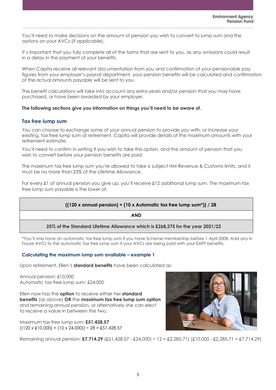You'll need to make decisions on the amount of pension you wish to convert to lump sum and the options on your AVCs (if applicable).

It's important that you fully complete all of the forms that are sent to you, as any omissions could result in a delay in the payment of your benefits.

When Capita receive all relevant documentation from you and confirmation of your pensionable pay figures from your employer's payroll department, your pension benefits will be calculated and confirmation of the actual amounts payable will be sent to you.

The benefit calculations will take into account any extra years and/or pension that you may have purchased, or have been awarded by your employer.

### **The following sections give you information on things you'll need to be aware of.**

### **Tax free lump sum**

You can choose to exchange some of your annual pension to provide you with, or increase your existing, tax free lump sum at retirement. Capita will provide details of the maximum amounts with your retirement estimate.

You'll need to confirm in writing if you wish to take this option, and the amount of pension that you wish to convert before your pension benefits are paid.

The maximum tax free lump sum you're allowed to take is subject HM Revenue & Customs limits, and it must be no more than 25% of the Lifetime Allowance.

For every £1 of annual pension you give up, you'll receive £12 additional lump sum. The maximum tax free lump sum payable is the lower of:

### **((120 x annual pension) + (10 x Automatic tax free lump sum\*)) / 28**

**AND**

 **25% of the Standard Lifetime Allowance which is £268,275 for the year 2021/22**

\*You'll only have an automatic tax free lump sum if you have Scheme membership before 1 April 2008. Add any in house AVCs to the automatic tax free lump sum if your AVCs are being paid with your EAPF benefits.

### **Calculating the maximum lump sum available – example 1**

Upon retirement, Ellen's **standard benefits** have been calculated as:

Annual pension: £10,000 Automatic tax free lump sum: £24,000

Ellen now has the **option** to receive either her **standard benefits** (as above) **OR** the **maximum tax free lump sum option**  and remaining annual pension, or alternatively she can elect to receive a value in between the two.

Maximum tax free lump sum: **£51,428.57**  $((120 \times £10.000) + (10 \times 24,000)) \div 28 = £51,428.57$ 

Remaining annual pension: **£7,714.29** (£51,428.57 - £24,000) ÷ 12 = £2,285.71) (£10,000 - £2,285.71 = £7,714.29)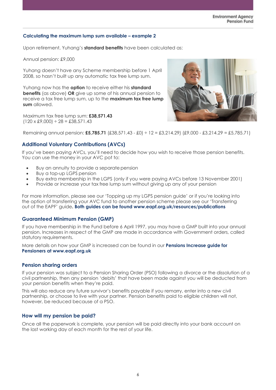### **Calculating the maximum lump sum available – example 2**

Upon retirement, Yuhang's **standard benefits** have been calculated as:

Annual pension: £9,000

Yuhang doesn't have any Scheme membership before 1 April 2008, so hasn't built up any automatic tax free lump sum.

Yuhang now has the **option** to receive either his **standard benefits** (as above) **OR** give up some of his annual pension to receive a tax free lump sum, up to the **maximum tax free lump sum** allowed.

Maximum tax free lump sum: **£38,571.43**  $(120 \times \text{\pounds}9,000) \div 28 = \text{\pounds}38,571.43$ 



Remaining annual pension: **£5,785.71** (£38,571.43 - £0) ÷ 12 = £3,214.29) (£9,000 - £3,214.29 = £5,785.71)

# **Additional Voluntary Contributions (AVCs)**

If you've been paying AVCs, you'll need to decide how you wish to receive those pension benefits. You can use the money in your AVC pot to:

- Buy an annuity to provide a separate pension
- Buy a top-up LGPS pension
- Buy extra membership in the LGPS (only if you were paying AVCs before 13 November 2001)
- Provide or increase your tax free lump sum without giving up any of your pension

For more information, please see our 'Topping up my LGPS pension guide' or if you're looking into the option of transferring your AVC fund to another pension scheme please see our 'Transferring out of the EAPF' guide**. [Both guides can be found www.eapf.org.uk/resources/publications](https://www.eapf.org.uk/resources/publications)**

# **Guaranteed Minimum Pension (GMP)**

If you have membership in the Fund before 6 April 1997, you may have a GMP built into your annual pension. Increases in respect of the GMP are made in accordance with Government orders, called statutory requirements.

More details on how your GMP is increased can be found in our **[Pensions Increase guide for](https://www.eapf.org.uk/resources/publications)  [Pensioners at www.eapf.org.uk](https://www.eapf.org.uk/resources/publications)**

### **Pension sharing orders**

If your pension was subject to a Pension Sharing Order (PSO) following a divorce or the dissolution of a civil partnership, then any pension 'debits' that have been made against you will be deducted from your pension benefits when they're paid.

This will also reduce any future survivor's benefits payable if you remarry, enter into a new civil partnership, or choose to live with your partner. Pension benefits paid to eligible children will not, however, be reduced because of a PSO.

# **How will my pension be paid?**

Once all the paperwork is complete, your pension will be paid directly into your bank account on the last working day of each month for the rest of your life.